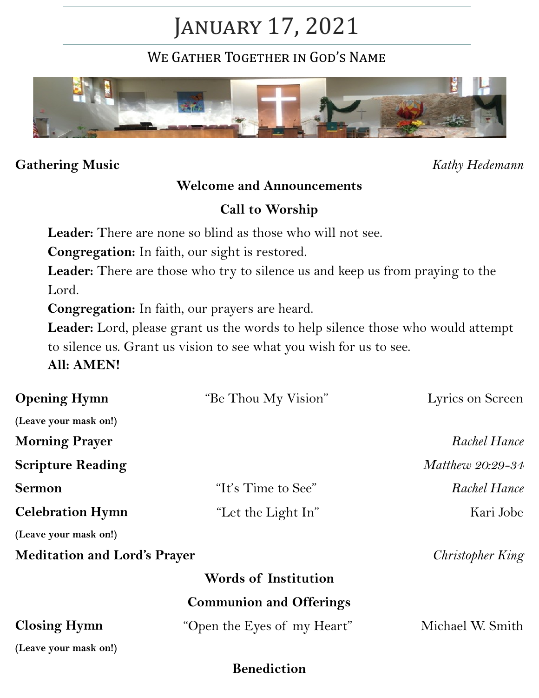# January 17, 2021

WE GATHER TOGETHER IN GOD'S NAME



# **Gathering Music** *Kathy Hedemann*

## **Welcome and Announcements**

# **Call to Worship**

**Leader:** There are none so blind as those who will not see.

**Congregation:** In faith, our sight is restored.

Leader: There are those who try to silence us and keep us from praying to the Lord.

**Congregation:** In faith, our prayers are heard.

**Leader:** Lord, please grant us the words to help silence those who would attempt to silence us. Grant us vision to see what you wish for us to see.

**All: AMEN!**

| <b>Opening Hymn</b>                 | "Be Thou My Vision"            | Lyrics on Screen |
|-------------------------------------|--------------------------------|------------------|
| (Leave your mask on!)               |                                |                  |
| <b>Morning Prayer</b>               |                                | Rachel Hance     |
| <b>Scripture Reading</b>            |                                | Matthew 20:29-34 |
| <b>Sermon</b>                       | "It's Time to See"             | Rachel Hance     |
| <b>Celebration Hymn</b>             | "Let the Light In"             | Kari Jobe        |
| (Leave your mask on!)               |                                |                  |
| <b>Meditation and Lord's Prayer</b> |                                | Christopher King |
|                                     | <b>Words of Institution</b>    |                  |
|                                     | <b>Communion and Offerings</b> |                  |
| <b>Closing Hymn</b>                 | "Open the Eyes of my Heart"    | Michael W. Smith |
| (Leave your mask on!)               |                                |                  |
|                                     | <b>Benediction</b>             |                  |